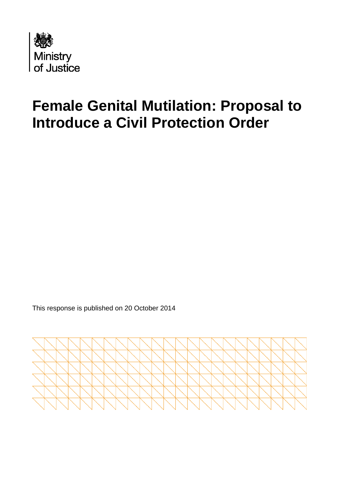

# **Female Genital Mutilation: Proposal to Introduce a Civil Protection Order**

This response is published on 20 October 2014

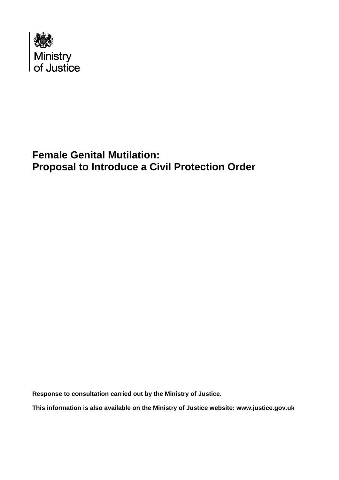

## **Female Genital Mutilation: Proposal to Introduce a Civil Protection Order**

**Response to consultation carried out by the Ministry of Justice.** 

**This information is also available on the Ministry of Justice website: [www.justice.gov.uk](http://www.justice.gov.uk/)**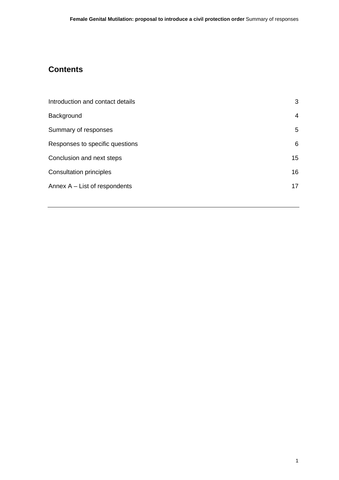## **Contents**

| Introduction and contact details | 3  |
|----------------------------------|----|
| Background                       | 4  |
| Summary of responses             | 5  |
| Responses to specific questions  | 6  |
| Conclusion and next steps        | 15 |
| <b>Consultation principles</b>   | 16 |
| Annex A – List of respondents    | 17 |
|                                  |    |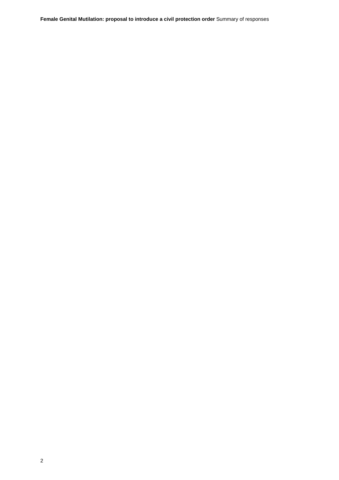**Female Genital Mutilation: proposal to introduce a civil protection order** Summary of responses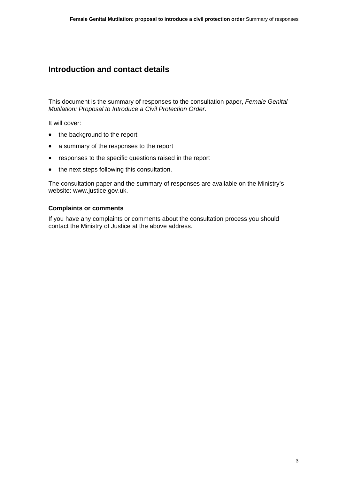## <span id="page-4-0"></span>**Introduction and contact details**

This document is the summary of responses to the consultation paper, *Female Genital Mutilation: Proposal to Introduce a Civil Protection Order*.

It will cover:

- the background to the report
- a summary of the responses to the report
- responses to the specific questions raised in the report
- the next steps following this consultation.

The consultation paper and the summary of responses are available on the Ministry's website: [www.justice.gov.uk](http://www.justice.gov.uk/).

#### **Complaints or comments**

If you have any complaints or comments about the consultation process you should contact the Ministry of Justice at the above address.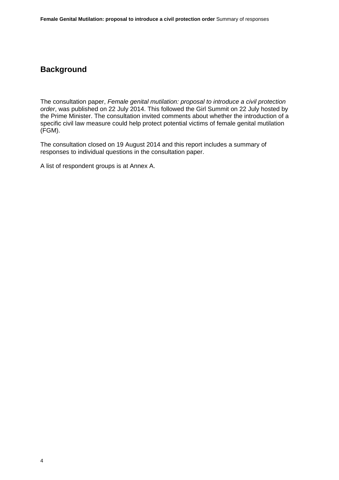## <span id="page-5-0"></span>**Background**

The consultation paper, *Female genital mutilation: proposal to introduce a civil protection order*, was published on 22 July 2014. This followed the Girl Summit on 22 July hosted by the Prime Minister. The consultation invited comments about whether the introduction of a specific civil law measure could help protect potential victims of female genital mutilation (FGM).

The consultation closed on 19 August 2014 and this report includes a summary of responses to individual questions in the consultation paper.

A list of respondent groups is at [Annex A.](#page-18-0)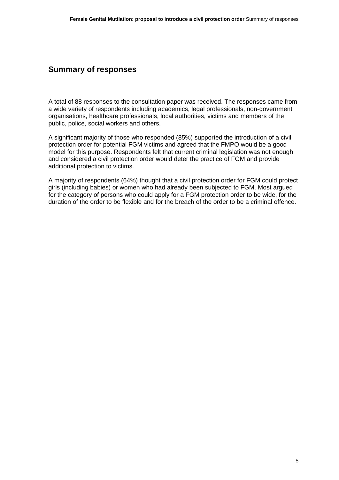## <span id="page-6-0"></span>**Summary of responses**

A total of 88 responses to the consultation paper was received. The responses came from a wide variety of respondents including academics, legal professionals, non-government organisations, healthcare professionals, local authorities, victims and members of the public, police, social workers and others.

A significant majority of those who responded (85%) supported the introduction of a civil protection order for potential FGM victims and agreed that the FMPO would be a good model for this purpose. Respondents felt that current criminal legislation was not enough and considered a civil protection order would deter the practice of FGM and provide additional protection to victims.

A majority of respondents (64%) thought that a civil protection order for FGM could protect girls (including babies) or women who had already been subjected to FGM. Most argued for the category of persons who could apply for a FGM protection order to be wide, for the duration of the order to be flexible and for the breach of the order to be a criminal offence.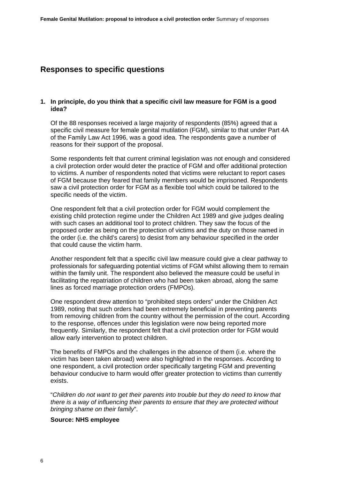### <span id="page-7-0"></span>**Responses to specific questions**

#### **1. In principle, do you think that a specific civil law measure for FGM is a good idea?**

Of the 88 responses received a large majority of respondents (85%) agreed that a specific civil measure for female genital mutilation (FGM), similar to that under Part 4A of the Family Law Act 1996, was a good idea. The respondents gave a number of reasons for their support of the proposal.

Some respondents felt that current criminal legislation was not enough and considered a civil protection order would deter the practice of FGM and offer additional protection to victims. A number of respondents noted that victims were reluctant to report cases of FGM because they feared that family members would be imprisoned. Respondents saw a civil protection order for FGM as a flexible tool which could be tailored to the specific needs of the victim.

One respondent felt that a civil protection order for FGM would complement the existing child protection regime under the Children Act 1989 and give judges dealing with such cases an additional tool to protect children. They saw the focus of the proposed order as being on the protection of victims and the duty on those named in the order (i.e. the child's carers) to desist from any behaviour specified in the order that could cause the victim harm.

Another respondent felt that a specific civil law measure could give a clear pathway to professionals for safeguarding potential victims of FGM whilst allowing them to remain within the family unit. The respondent also believed the measure could be useful in facilitating the repatriation of children who had been taken abroad, along the same lines as forced marriage protection orders (FMPOs).

One respondent drew attention to "prohibited steps orders" under the Children Act 1989, noting that such orders had been extremely beneficial in preventing parents from removing children from the country without the permission of the court. According to the response, offences under this legislation were now being reported more frequently. Similarly, the respondent felt that a civil protection order for FGM would allow early intervention to protect children.

The benefits of FMPOs and the challenges in the absence of them (i.e. where the victim has been taken abroad) were also highlighted in the responses. According to one respondent, a civil protection order specifically targeting FGM and preventing behaviour conducive to harm would offer greater protection to victims than currently exists.

"*Children do not want to get their parents into trouble but they do need to know that there is a way of influencing their parents to ensure that they are protected without bringing shame on their family*".

#### **Source: NHS employee**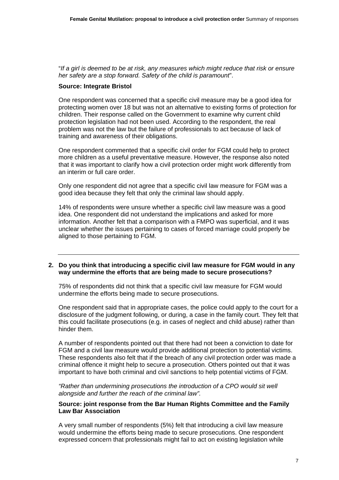"*If a girl is deemed to be at risk, any measures which might reduce that risk or ensure her safety are a stop forward. Safety of the child is paramount*".

#### **Source: Integrate Bristol**

One respondent was concerned that a specific civil measure may be a good idea for protecting women over 18 but was not an alternative to existing forms of protection for children. Their response called on the Government to examine why current child protection legislation had not been used. According to the respondent, the real problem was not the law but the failure of professionals to act because of lack of training and awareness of their obligations.

One respondent commented that a specific civil order for FGM could help to protect more children as a useful preventative measure. However, the response also noted that it was important to clarify how a civil protection order might work differently from an interim or full care order.

Only one respondent did not agree that a specific civil law measure for FGM was a good idea because they felt that only the criminal law should apply.

14% of respondents were unsure whether a specific civil law measure was a good idea. One respondent did not understand the implications and asked for more information. Another felt that a comparison with a FMPO was superficial, and it was unclear whether the issues pertaining to cases of forced marriage could properly be aligned to those pertaining to FGM.

#### **2. Do you think that introducing a specific civil law measure for FGM would in any way undermine the efforts that are being made to secure prosecutions?**

75% of respondents did not think that a specific civil law measure for FGM would undermine the efforts being made to secure prosecutions.

One respondent said that in appropriate cases, the police could apply to the court for a disclosure of the judgment following, or during, a case in the family court. They felt that this could facilitate prosecutions (e.g. in cases of neglect and child abuse) rather than hinder them.

A number of respondents pointed out that there had not been a conviction to date for FGM and a civil law measure would provide additional protection to potential victims. These respondents also felt that if the breach of any civil protection order was made a criminal offence it might help to secure a prosecution. Others pointed out that it was important to have both criminal and civil sanctions to help potential victims of FGM.

*"Rather than undermining prosecutions the introduction of a CPO would sit well alongside and further the reach of the criminal law".* 

#### **Source: joint response from the Bar Human Rights Committee and the Family Law Bar Association**

A very small number of respondents (5%) felt that introducing a civil law measure would undermine the efforts being made to secure prosecutions. One respondent expressed concern that professionals might fail to act on existing legislation while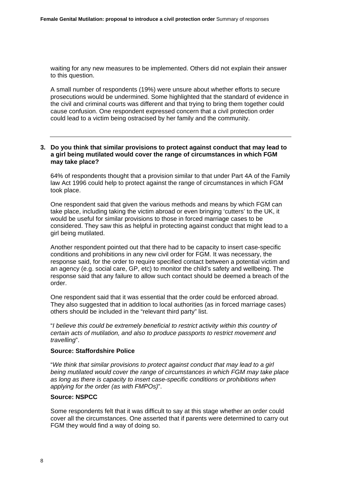waiting for any new measures to be implemented. Others did not explain their answer to this question.

A small number of respondents (19%) were unsure about whether efforts to secure prosecutions would be undermined. Some highlighted that the standard of evidence in the civil and criminal courts was different and that trying to bring them together could cause confusion. One respondent expressed concern that a civil protection order could lead to a victim being ostracised by her family and the community.

#### **3. Do you think that similar provisions to protect against conduct that may lead to a girl being mutilated would cover the range of circumstances in which FGM may take place?**

64% of respondents thought that a provision similar to that under Part 4A of the Family law Act 1996 could help to protect against the range of circumstances in which FGM took place.

One respondent said that given the various methods and means by which FGM can take place, including taking the victim abroad or even bringing 'cutters' to the UK, it would be useful for similar provisions to those in forced marriage cases to be considered. They saw this as helpful in protecting against conduct that might lead to a girl being mutilated.

Another respondent pointed out that there had to be capacity to insert case-specific conditions and prohibitions in any new civil order for FGM. It was necessary, the response said, for the order to require specified contact between a potential victim and an agency (e.g. social care, GP, etc) to monitor the child's safety and wellbeing. The response said that any failure to allow such contact should be deemed a breach of the order.

One respondent said that it was essential that the order could be enforced abroad. They also suggested that in addition to local authorities (as in forced marriage cases) others should be included in the "relevant third party" list.

"*I believe this could be extremely beneficial to restrict activity within this country of certain acts of mutilation, and also to produce passports to restrict movement and travelling*".

#### **Source: Staffordshire Police**

"*We think that similar provisions to protect against conduct that may lead to a girl being mutilated would cover the range of circumstances in which FGM may take place as long as there is capacity to insert case-specific conditions or prohibitions when applying for the order (as with FMPOs)*".

#### **Source: NSPCC**

Some respondents felt that it was difficult to say at this stage whether an order could cover all the circumstances. One asserted that if parents were determined to carry out FGM they would find a way of doing so.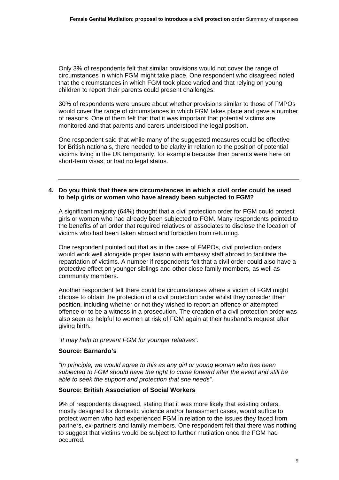Only 3% of respondents felt that similar provisions would not cover the range of circumstances in which FGM might take place. One respondent who disagreed noted that the circumstances in which FGM took place varied and that relying on young children to report their parents could present challenges.

30% of respondents were unsure about whether provisions similar to those of FMPOs would cover the range of circumstances in which FGM takes place and gave a number of reasons. One of them felt that that it was important that potential victims are monitored and that parents and carers understood the legal position.

One respondent said that while many of the suggested measures could be effective for British nationals, there needed to be clarity in relation to the position of potential victims living in the UK temporarily, for example because their parents were here on short-term visas, or had no legal status.

#### **4. Do you think that there are circumstances in which a civil order could be used to help girls or women who have already been subjected to FGM?**

A significant majority (64%) thought that a civil protection order for FGM could protect girls or women who had already been subjected to FGM. Many respondents pointed to the benefits of an order that required relatives or associates to disclose the location of victims who had been taken abroad and forbidden from returning.

One respondent pointed out that as in the case of FMPOs, civil protection orders would work well alongside proper liaison with embassy staff abroad to facilitate the repatriation of victims. A number if respondents felt that a civil order could also have a protective effect on younger siblings and other close family members, as well as community members.

Another respondent felt there could be circumstances where a victim of FGM might choose to obtain the protection of a civil protection order whilst they consider their position, including whether or not they wished to report an offence or attempted offence or to be a witness in a prosecution. The creation of a civil protection order was also seen as helpful to women at risk of FGM again at their husband's request after giving birth.

"*It may help to prevent FGM for younger relatives".* 

#### **Source: Barnardo's**

*"In principle, we would agree to this as any girl or young woman who has been subjected to FGM should have the right to come forward after the event and still be able to seek the support and protection that she needs*".

#### **Source: British Association of Social Workers**

9% of respondents disagreed, stating that it was more likely that existing orders, mostly designed for domestic violence and/or harassment cases, would suffice to protect women who had experienced FGM in relation to the issues they faced from partners, ex-partners and family members. One respondent felt that there was nothing to suggest that victims would be subject to further mutilation once the FGM had occurred.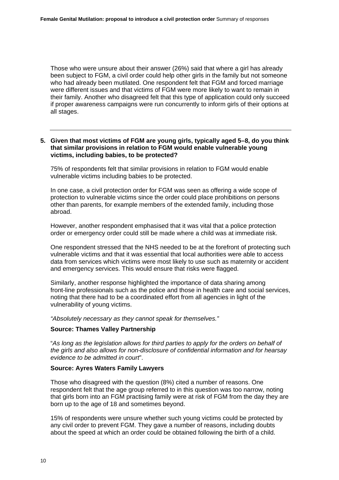Those who were unsure about their answer (26%) said that where a girl has already been subject to FGM, a civil order could help other girls in the family but not someone who had already been mutilated. One respondent felt that FGM and forced marriage were different issues and that victims of FGM were more likely to want to remain in their family. Another who disagreed felt that this type of application could only succeed if proper awareness campaigns were run concurrently to inform girls of their options at all stages.

#### **5. Given that most victims of FGM are young girls, typically aged 5–8, do you think that similar provisions in relation to FGM would enable vulnerable young victims, including babies, to be protected?**

75% of respondents felt that similar provisions in relation to FGM would enable vulnerable victims including babies to be protected.

In one case, a civil protection order for FGM was seen as offering a wide scope of protection to vulnerable victims since the order could place prohibitions on persons other than parents, for example members of the extended family, including those abroad.

However, another respondent emphasised that it was vital that a police protection order or emergency order could still be made where a child was at immediate risk.

One respondent stressed that the NHS needed to be at the forefront of protecting such vulnerable victims and that it was essential that local authorities were able to access data from services which victims were most likely to use such as maternity or accident and emergency services. This would ensure that risks were flagged.

Similarly, another response highlighted the importance of data sharing among front-line professionals such as the police and those in health care and social services, noting that there had to be a coordinated effort from all agencies in light of the vulnerability of young victims.

*"Absolutely necessary as they cannot speak for themselves."* 

#### **Source: Thames Valley Partnership**

"*As long as the legislation allows for third parties to apply for the orders on behalf of the girls and also allows for non-disclosure of confidential information and for hearsay evidence to be admitted in court*".

#### **Source: Ayres Waters Family Lawyers**

Those who disagreed with the question (8%) cited a number of reasons. One respondent felt that the age group referred to in this question was too narrow, noting that girls born into an FGM practising family were at risk of FGM from the day they are born up to the age of 18 and sometimes beyond.

15% of respondents were unsure whether such young victims could be protected by any civil order to prevent FGM. They gave a number of reasons, including doubts about the speed at which an order could be obtained following the birth of a child.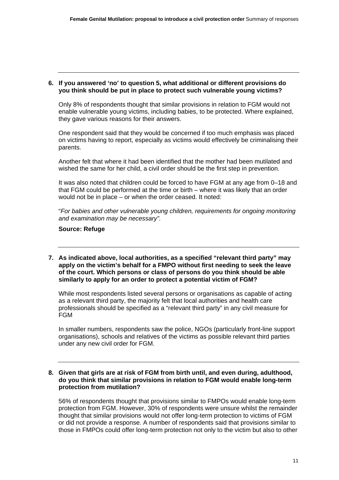#### **6. If you answered 'no' to question 5, what additional or different provisions do you think should be put in place to protect such vulnerable young victims?**

Only 8% of respondents thought that similar provisions in relation to FGM would not enable vulnerable young victims, including babies, to be protected. Where explained, they gave various reasons for their answers.

One respondent said that they would be concerned if too much emphasis was placed on victims having to report, especially as victims would effectively be criminalising their parents.

Another felt that where it had been identified that the mother had been mutilated and wished the same for her child, a civil order should be the first step in prevention.

It was also noted that children could be forced to have FGM at any age from 0–18 and that FGM could be performed at the time or birth – where it was likely that an order would not be in place – or when the order ceased. It noted:

"*For babies and other vulnerable young children, requirements for ongoing monitoring and examination may be necessary".* 

#### **Source: Refuge**

**7. As indicated above, local authorities, as a specified "relevant third party" may apply on the victim's behalf for a FMPO without first needing to seek the leave of the court. Which persons or class of persons do you think should be able similarly to apply for an order to protect a potential victim of FGM?** 

While most respondents listed several persons or organisations as capable of acting as a relevant third party, the majority felt that local authorities and health care professionals should be specified as a "relevant third party" in any civil measure for FGM

In smaller numbers, respondents saw the police, NGOs (particularly front-line support organisations), schools and relatives of the victims as possible relevant third parties under any new civil order for FGM.

#### **8. Given that girls are at risk of FGM from birth until, and even during, adulthood, do you think that similar provisions in relation to FGM would enable long-term protection from mutilation?**

56% of respondents thought that provisions similar to FMPOs would enable long-term protection from FGM. However, 30% of respondents were unsure whilst the remainder thought that similar provisions would not offer long-term protection to victims of FGM or did not provide a response. A number of respondents said that provisions similar to those in FMPOs could offer long-term protection not only to the victim but also to other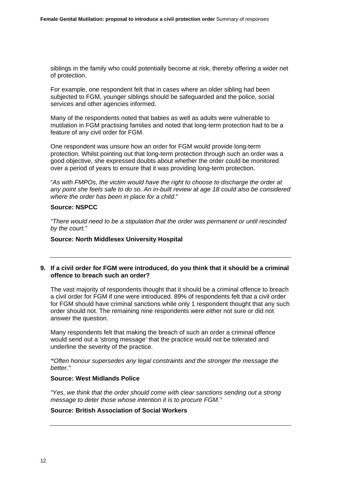siblings in the family who could potentially become at risk, thereby offering a wider net of protection.

For example, one respondent felt that in cases where an older sibling had been subjected to FGM, younger siblings should be safeguarded and the police, social services and other agencies informed.

Many of the respondents noted that babies as well as adults were vulnerable to mutilation in FGM practising families and noted that long-term protection had to be a feature of any civil order for FGM.

One respondent was unsure how an order for FGM would provide long-term protection. Whilst pointing out that long-term protection through such an order was a good objective, she expressed doubts about whether the order could be monitored over a period of years to ensure that it was providing long-term protection.

"*As with FMPOs, the victim would have the right to choose to discharge the order at any point she feels safe to do so. An in-built review at age 18 could also be considered where the order has been in place for a child*."

#### **Source: NSPCC**

*"There would need to be a stipulation that the order was permanent or until rescinded by the court."* 

#### **Source: North Middlesex University Hospital**

#### **9. If a civil order for FGM were introduced, do you think that it should be a criminal offence to breach such an order?**

The vast majority of respondents thought that it should be a criminal offence to breach a civil order for FGM if one were introduced. 89% of respondents felt that a civil order for FGM should have criminal sanctions while only 1 respondent thought that any such order should not. The remaining nine respondents were either not sure or did not answer the question.

Many respondents felt that making the breach of such an order a criminal offence would send out a 'strong message' that the practice would not be tolerated and underline the severity of the practice.

*"Often honour supersedes any legal constraints and the stronger the message the better."*

#### **Source: West Midlands Police**

*"Yes, we think that the order should come with clear sanctions sending out a strong message to deter those whose intention it is to procure FGM."*

#### **Source: British Association of Social Workers**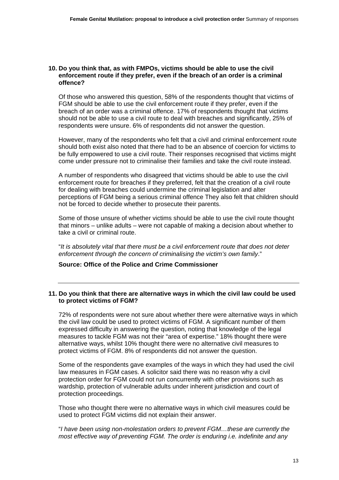#### **10. Do you think that, as with FMPOs, victims should be able to use the civil enforcement route if they prefer, even if the breach of an order is a criminal offence?**

Of those who answered this question, 58% of the respondents thought that victims of FGM should be able to use the civil enforcement route if they prefer, even if the breach of an order was a criminal offence. 17% of respondents thought that victims should not be able to use a civil route to deal with breaches and significantly, 25% of respondents were unsure. 6% of respondents did not answer the question.

However, many of the respondents who felt that a civil and criminal enforcement route should both exist also noted that there had to be an absence of coercion for victims to be fully empowered to use a civil route. Their responses recognised that victims might come under pressure not to criminalise their families and take the civil route instead.

A number of respondents who disagreed that victims should be able to use the civil enforcement route for breaches if they preferred, felt that the creation of a civil route for dealing with breaches could undermine the criminal legislation and alter perceptions of FGM being a serious criminal offence They also felt that children should not be forced to decide whether to prosecute their parents.

Some of those unsure of whether victims should be able to use the civil route thought that minors – unlike adults – were not capable of making a decision about whether to take a civil or criminal route.

"*It is absolutely vital that there must be a civil enforcement route that does not deter enforcement through the concern of criminalising the victim's own family*."

#### **Source: Office of the Police and Crime Commissioner**

#### **11. Do you think that there are alternative ways in which the civil law could be used to protect victims of FGM?**

72% of respondents were not sure about whether there were alternative ways in which the civil law could be used to protect victims of FGM. A significant number of them expressed difficulty in answering the question, noting that knowledge of the legal measures to tackle FGM was not their "area of expertise." 18% thought there were alternative ways, whilst 10% thought there were no alternative civil measures to protect victims of FGM. 8% of respondents did not answer the question.

Some of the respondents gave examples of the ways in which they had used the civil law measures in FGM cases. A solicitor said there was no reason why a civil protection order for FGM could not run concurrently with other provisions such as wardship, protection of vulnerable adults under inherent jurisdiction and court of protection proceedings.

Those who thought there were no alternative ways in which civil measures could be used to protect FGM victims did not explain their answer.

"*I have been using non-molestation orders to prevent FGM…these are currently the most effective way of preventing FGM. The order is enduring i.e. indefinite and any*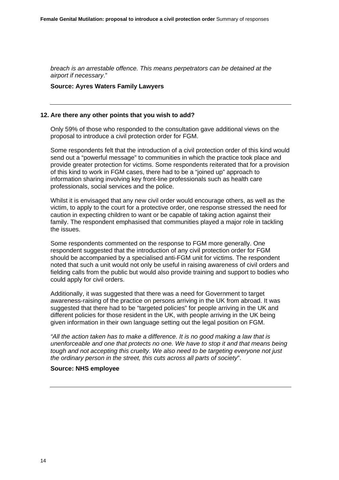*breach is an arrestable offence. This means perpetrators can be detained at the airport if necessary*."

#### **Source: Ayres Waters Family Lawyers**

#### **12. Are there any other points that you wish to add?**

Only 59% of those who responded to the consultation gave additional views on the proposal to introduce a civil protection order for FGM.

Some respondents felt that the introduction of a civil protection order of this kind would send out a "powerful message" to communities in which the practice took place and provide greater protection for victims. Some respondents reiterated that for a provision of this kind to work in FGM cases, there had to be a "joined up" approach to information sharing involving key front-line professionals such as health care professionals, social services and the police.

Whilst it is envisaged that any new civil order would encourage others, as well as the victim, to apply to the court for a protective order, one response stressed the need for caution in expecting children to want or be capable of taking action against their family. The respondent emphasised that communities played a major role in tackling the issues.

Some respondents commented on the response to FGM more generally. One respondent suggested that the introduction of any civil protection order for FGM should be accompanied by a specialised anti-FGM unit for victims. The respondent noted that such a unit would not only be useful in raising awareness of civil orders and fielding calls from the public but would also provide training and support to bodies who could apply for civil orders.

Additionally, it was suggested that there was a need for Government to target awareness-raising of the practice on persons arriving in the UK from abroad. It was suggested that there had to be "targeted policies" for people arriving in the UK and different policies for those resident in the UK, with people arriving in the UK being given information in their own language setting out the legal position on FGM.

*"All the action taken has to make a difference. It is no good making a law that is unenforceable and one that protects no one. We have to stop it and that means being tough and not accepting this cruelty. We also need to be targeting everyone not just the ordinary person in the street, this cuts across all parts of society*".

#### **Source: NHS employee**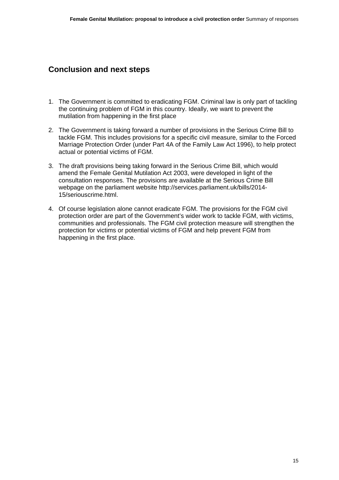## <span id="page-16-0"></span>**Conclusion and next steps**

- 1. The Government is committed to eradicating FGM. Criminal law is only part of tackling the continuing problem of FGM in this country. Ideally, we want to prevent the mutilation from happening in the first place
- 2. The Government is taking forward a number of provisions in the Serious Crime Bill to tackle FGM. This includes provisions for a specific civil measure, similar to the Forced Marriage Protection Order (under Part 4A of the Family Law Act 1996), to help protect actual or potential victims of FGM.
- 3. The draft provisions being taking forward in the Serious Crime Bill, which would amend the Female Genital Mutilation Act 2003, were developed in light of the consultation responses. The provisions are available at the Serious Crime Bill webpage on the parliament website http://services.parliament.uk/bills/2014- 15/seriouscrime.html.
- 4. Of course legislation alone cannot eradicate FGM. The provisions for the FGM civil protection order are part of the Government's wider work to tackle FGM, with victims, communities and professionals. The FGM civil protection measure will strengthen the protection for victims or potential victims of FGM and help prevent FGM from happening in the first place.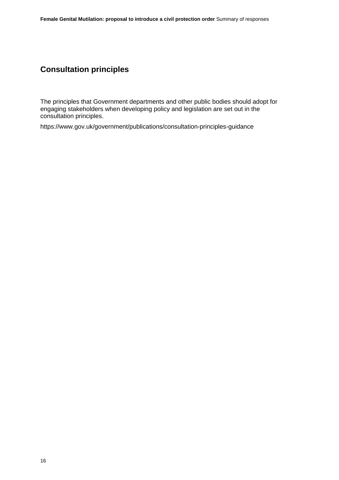## <span id="page-17-0"></span>**Consultation principles**

The principles that Government departments and other public bodies should adopt for engaging stakeholders when developing policy and legislation are set out in the consultation principles.

<https://www.gov.uk/government/publications/consultation-principles-guidance>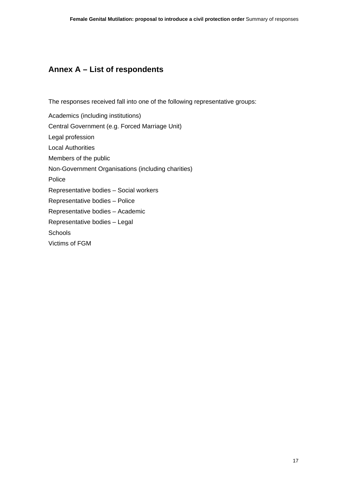## <span id="page-18-0"></span>**Annex A – List of respondents**

The responses received fall into one of the following representative groups:

Academics (including institutions) Central Government (e.g. Forced Marriage Unit) Legal profession Local Authorities Members of the public Non-Government Organisations (including charities) Police Representative bodies – Social workers Representative bodies – Police Representative bodies – Academic Representative bodies – Legal **Schools** Victims of FGM